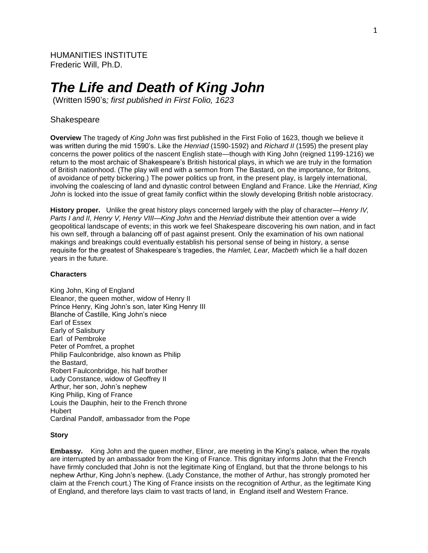# *The Life and Death of King John*

(Written l590's*; first published in First Folio, 1623*

# Shakespeare

**Overview** The tragedy of *King John* was first published in the First Folio of 1623, though we believe it was written during the mid 1590's. Like the *Henriad* (1590-1592) and *Richard II* (1595) the present play concerns the power politics of the nascent English state—though with King John (reigned 1199-1216) we return to the most archaic of Shakespeare's British historical plays, in which we are truly in the formation of British nationhood. (The play will end with a sermon from The Bastard, on the importance, for Britons, of avoidance of petty bickering.) The power politics up front, in the present play, is largely international, involving the coalescing of land and dynastic control between England and France. Like the *Henriad*, *King John* is locked into the issue of great family conflict within the slowly developing British noble aristocracy.

**History proper.** Unlike the great history plays concerned largely with the play of character—*Henry IV, Parts I and II, Henry V, Henry VIII—King John and the <i>Henriad* distribute their attention over a wide geopolitical landscape of events; in this work we feel Shakespeare discovering his own nation, and in fact his own self, through a balancing off of past against present. Only the examination of his own national makings and breakings could eventually establish his personal sense of being in history, a sense requisite for the greatest of Shakespeare's tragedies, the *Hamlet, Lear, Macbeth* which lie a half dozen years in the future.

#### **Characters**

King John, King of England Eleanor, the queen mother, widow of Henry II Prince Henry, King John's son, later King Henry III Blanche of Castille, King John's niece Earl of Essex Early of Salisbury Earl of Pembroke Peter of Pomfret, a prophet Philip Faulconbridge, also known as Philip the Bastard, Robert Faulconbridge, his half brother Lady Constance, widow of Geoffrey II Arthur, her son, John's nephew King Philip, King of France Louis the Dauphin, heir to the French throne **Hubert** Cardinal Pandolf, ambassador from the Pope

#### **Story**

**Embassy.** King John and the queen mother, Elinor, are meeting in the King's palace, when the royals are interrupted by an ambassador from the King of France. This dignitary informs John that the French have firmly concluded that John is not the legitimate King of England, but that the throne belongs to his nephew Arthur, King John's nephew. (Lady Constance, the mother of Arthur, has strongly promoted her claim at the French court.) The King of France insists on the recognition of Arthur, as the legitimate King of England, and therefore lays claim to vast tracts of land, in England itself and Western France.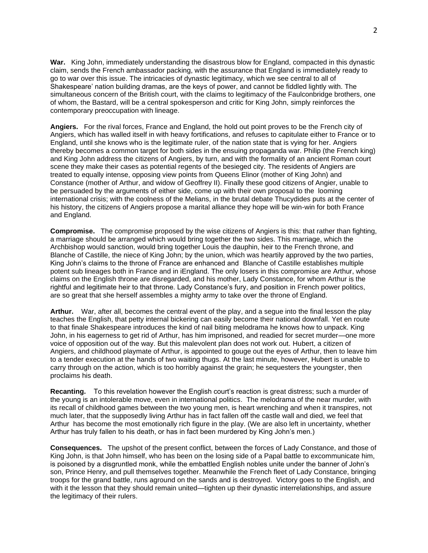**War.** King John, immediately understanding the disastrous blow for England, compacted in this dynastic claim, sends the French ambassador packing, with the assurance that England is immediately ready to go to war over this issue. The intricacies of dynastic legitimacy, which we see central to all of Shakespeare' nation building dramas, are the keys of power, and cannot be fiddled lightly with. The simultaneous concern of the British court, with the claims to legitimacy of the Faulconbridge brothers, one of whom, the Bastard, will be a central spokesperson and critic for King John, simply reinforces the contemporary preoccupation with lineage.

**Angiers.** For the rival forces, France and England, the hold out point proves to be the French city of Angiers, which has walled itself in with heavy fortifications, and refuses to capitulate either to France or to England, until she knows who is the legitimate ruler, of the nation state that is vying for her. Angiers thereby becomes a common target for both sides in the ensuing propaganda war. Philip (the French king) and King John address the citizens of Angiers, by turn, and with the formality of an ancient Roman court scene they make their cases as potential regents of the besieged city. The residents of Angiers are treated to equally intense, opposing view points from Queens Elinor (mother of King John) and Constance (mother of Arthur, and widow of Geoffrey II). Finally these good citizens of Angier, unable to be persuaded by the arguments of either side, come up with their own proposal to the looming international crisis; with the coolness of the Melians, in the brutal debate Thucydides puts at the center of his history, the citizens of Angiers propose a marital alliance they hope will be win-win for both France and England.

**Compromise.** The compromise proposed by the wise citizens of Angiers is this: that rather than fighting, a marriage should be arranged which would bring together the two sides. This marriage, which the Archbishop would sanction, would bring together Louis the dauphin, heir to the French throne, and Blanche of Castille, the niece of King John; by the union, which was heartily approved by the two parties, King John's claims to the throne of France are enhanced and Blanche of Castille establishes multiple potent sub lineages both in France and in iEngland. The only losers in this compromise are Arthur, whose claims on the English throne are disregarded, and his mother, Lady Constance, for whom Arthur is the rightful and legitimate heir to that throne. Lady Constance's fury, and position in French power politics, are so great that she herself assembles a mighty army to take over the throne of England.

**Arthur.** War, after all, becomes the central event of the play, and a segue into the final lesson the play teaches the English, that petty internal bickering can easily become their national downfall. Yet en route to that finale Shakespeare introduces the kind of nail biting melodrama he knows how to unpack. King John, in his eagerness to get rid of Arthur, has him imprisoned, and readied for secret murder—one more voice of opposition out of the way. But this malevolent plan does not work out. Hubert, a citizen of Angiers, and childhood playmate of Arthur, is appointed to gouge out the eyes of Arthur, then to leave him to a tender execution at the hands of two waiting thugs. At the last minute, however, Hubert is unable to carry through on the action, which is too horribly against the grain; he sequesters the youngster, then proclaims his death.

**Recanting.** To this revelation however the English court's reaction is great distress; such a murder of the young is an intolerable move, even in international politics. The melodrama of the near murder, with its recall of childhood games between the two young men, is heart wrenching and when it transpires, not much later, that the supposedly living Arthur has in fact fallen off the castle wall and died, we feel that Arthur has become the most emotionally rich figure in the play. (We are also left in uncertainty, whether Arthur has truly fallen to his death, or has in fact been murdered by King John's men.)

**Consequences.** The upshot of the present conflict, between the forces of Lady Constance, and those of King John, is that John himself, who has been on the losing side of a Papal battle to excommunicate him, is poisoned by a disgruntled monk, while the embattled English nobles unite under the banner of John's son, Prince Henry, and pull themselves together. Meanwhile the French fleet of Lady Constance, bringing troops for the grand battle, runs aground on the sands and is destroyed. Victory goes to the English, and with it the lesson that they should remain united—tighten up their dynastic interrelationships, and assure the legitimacy of their rulers.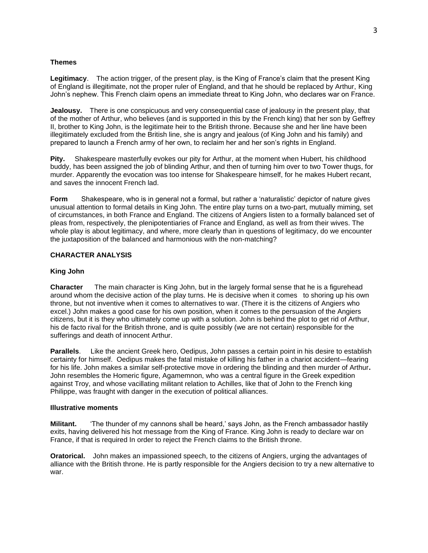## **Themes**

**Legitimacy**. The action trigger, of the present play, is the King of France's claim that the present King of England is illegitimate, not the proper ruler of England, and that he should be replaced by Arthur, King John's nephew. This French claim opens an immediate threat to King John, who declares war on France.

**Jealousy.** There is one conspicuous and very consequential case of jealousy in the present play, that of the mother of Arthur, who believes (and is supported in this by the French king) that her son by Geffrey II, brother to King John, is the legitimate heir to the British throne. Because she and her line have been illegitimately excluded from the British line, she is angry and jealous (of King John and his family) and prepared to launch a French army of her own, to reclaim her and her son's rights in England.

**Pity.** Shakespeare masterfully evokes our pity for Arthur, at the moment when Hubert, his childhood buddy, has been assigned the job of blinding Arthur, and then of turning him over to two Tower thugs, for murder. Apparently the evocation was too intense for Shakespeare himself, for he makes Hubert recant, and saves the innocent French lad.

**Form** Shakespeare, who is in general not a formal, but rather a 'naturalistic' depictor of nature gives unusual attention to formal details in King John. The entire play turns on a two-part, mutually miming, set of circumstances, in both France and England. The citizens of Angiers listen to a formally balanced set of pleas from, respectively, the plenipotentiaries of France and England, as well as from their wives. The whole play is about legitimacy, and where, more clearly than in questions of legitimacy, do we encounter the juxtaposition of the balanced and harmonious with the non-matching?

## **CHARACTER ANALYSIS**

## **King John**

**Character** The main character is King John, but in the largely formal sense that he is a figurehead around whom the decisive action of the play turns. He is decisive when it comes to shoring up his own throne, but not inventive when it comes to alternatives to war. (There it is the citizens of Angiers who excel.) John makes a good case for his own position, when it comes to the persuasion of the Angiers citizens, but it is they who ultimately come up with a solution. John is behind the plot to get rid of Arthur, his de facto rival for the British throne, and is quite possibly (we are not certain) responsible for the sufferings and death of innocent Arthur.

**Parallels**. Like the ancient Greek hero, Oedipus, John passes a certain point in his desire to establish certainty for himself. Oedipus makes the fatal mistake of killing his father in a chariot accident—fearing for his life. John makes a similar self-protective move in ordering the blinding and then murder of Arthur**.**  John resembles the Homeric figure, Agamemnon, who was a central figure in the Greek expedition against Troy, and whose vacillating militant relation to Achilles, like that of John to the French king Philippe, was fraught with danger in the execution of political alliances.

#### **Illustrative moments**

**Militant.** 'The thunder of my cannons shall be heard,' says John, as the French ambassador hastily exits, having delivered his hot message from the King of France. King John is ready to declare war on France, if that is required In order to reject the French claims to the British throne.

**Oratorical.** John makes an impassioned speech, to the citizens of Angiers, urging the advantages of alliance with the British throne. He is partly responsible for the Angiers decision to try a new alternative to war.